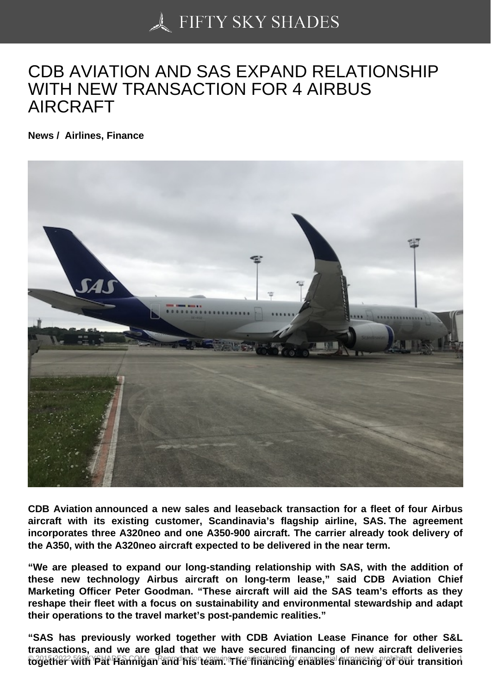## [CDB AVIATION AND S](https://50skyshades.com)AS EXPAND RELATIONSHIP WITH NEW TRANSACTION FOR 4 AIRBUS AIRCRAFT

News / Airlines, Finance

CDB Aviation announced a new sales and leaseback transaction for a fleet of four Airbus aircraft with its existing customer, Scandinavia's flagship airline, SAS. The agreement incorporates three A320neo and one A350-900 aircraft. The carrier already took delivery of the A350, with the A320neo aircraft expected to be delivered in the near term.

"We are pleased to expand our long-standing relationship with SAS, with the addition of these new technology Airbus aircraft on long-term lease," said CDB Aviation Chief Marketing Officer Peter Goodman. "These aircraft will aid the SAS team's efforts as they reshape their fleet with a focus on sustainability and environmental stewardship and adapt their operations to the travel market's post-pandemic realities."

"SAS has previously worked together with CDB Aviation Lease Finance for other S&L transactions, and we are glad that we have secured financing of new aircraft deliveries n 2015-2022 50SKYSHADES.GOM – and his team. Principal intelligation of a 2015-2015-2022 is prohibited. The red